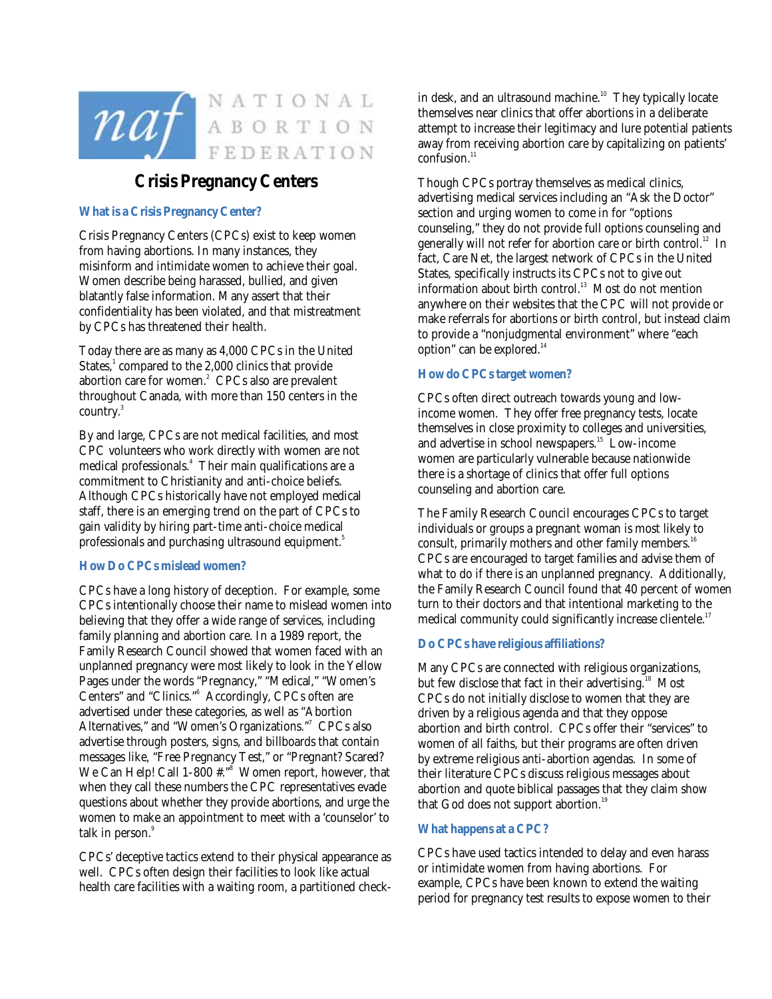

# **Crisis Pregnancy Centers**

## **What is a Crisis Pregnancy Center?**

Crisis Pregnancy Centers (CPCs) exist to keep women from having abortions. In many instances, they misinform and intimidate women to achieve their goal. Women describe being harassed, bullied, and given blatantly false information. Many assert that their confidentiality has been violated, and that mistreatment by CPCs has threatened their health.

Today there are as many as 4,000 CPCs in the United States, $^1$  compared to the 2,000 clinics that provide abortion care for women.<sup>2</sup> CPCs also are prevalent throughout Canada, with more than 150 centers in the country.<sup>3</sup>

By and large, CPCs are not medical facilities, and most CPC volunteers who work directly with women are not medical professionals.4 Their main qualifications are a commitment to Christianity and anti-choice beliefs. Although CPCs historically have not employed medical staff, there is an emerging trend on the part of CPCs to gain validity by hiring part-time anti-choice medical professionals and purchasing ultrasound equipment. $^{\mathrm{5}}$ 

## **How Do CPCs mislead women?**

CPCs have a long history of deception. For example, some CPCs intentionally choose their name to mislead women into believing that they offer a wide range of services, including family planning and abortion care. In a 1989 report, the Family Research Council showed that women faced with an unplanned pregnancy were most likely to look in the Yellow Pages under the words "Pregnancy," "Medical," "Women's Centers" and "Clinics."<sup>6</sup> Accordingly, CPCs often are advertised under these categories, as well as "Abortion Alternatives," and "Women's Organizations."<sup>7</sup> CPCs also advertise through posters, signs, and billboards that contain messages like, "Free Pregnancy Test," or "Pregnant? Scared? We Can Help! Call 1-800 #."8 Women report, however, that when they call these numbers the CPC representatives evade questions about whether they provide abortions, and urge the women to make an appointment to meet with a 'counselor' to talk in person.<sup>9</sup>

CPCs' deceptive tactics extend to their physical appearance as well. CPCs often design their facilities to look like actual health care facilities with a waiting room, a partitioned checkin desk, and an ultrasound machine.<sup>10</sup> They typically locate themselves near clinics that offer abortions in a deliberate attempt to increase their legitimacy and lure potential patients away from receiving abortion care by capitalizing on patients'  $confusion.<sup>11</sup>$ 

Though CPCs portray themselves as medical clinics, advertising medical services including an "Ask the Doctor" section and urging women to come in for "options counseling," they do not provide full options counseling and generally will not refer for abortion care or birth control.<sup>12</sup> In fact, Care Net, the largest network of CPCs in the United States, specifically instructs its CPCs not to give out information about birth control.<sup>13</sup> Most do not mention anywhere on their websites that the CPC will not provide or make referrals for abortions or birth control, but instead claim to provide a "nonjudgmental environment" where "each option" can be explored.<sup>14</sup>

## **How do CPCs target women?**

CPCs often direct outreach towards young and lowincome women. They offer free pregnancy tests, locate themselves in close proximity to colleges and universities, and advertise in school newspapers.<sup>15</sup> Low-income women are particularly vulnerable because nationwide there is a shortage of clinics that offer full options counseling and abortion care.

The Family Research Council encourages CPCs to target individuals or groups a pregnant woman is most likely to consult, primarily mothers and other family members.<sup>16</sup> CPCs are encouraged to target families and advise them of what to do if there is an unplanned pregnancy. Additionally, the Family Research Council found that 40 percent of women turn to their doctors and that intentional marketing to the medical community could significantly increase clientele.<sup>17</sup>

## **Do CPCs have religious affiliations?**

Many CPCs are connected with religious organizations, but few disclose that fact in their advertising.<sup>18</sup> Most CPCs do not initially disclose to women that they are driven by a religious agenda and that they oppose abortion and birth control. CPCs offer their "services" to women of all faiths, but their programs are often driven by extreme religious anti-abortion agendas. In some of their literature CPCs discuss religious messages about abortion and quote biblical passages that they claim show that God does not support abortion.<sup>19</sup>

## **What happens at a CPC?**

CPCs have used tactics intended to delay and even harass or intimidate women from having abortions. For example, CPCs have been known to extend the waiting period for pregnancy test results to expose women to their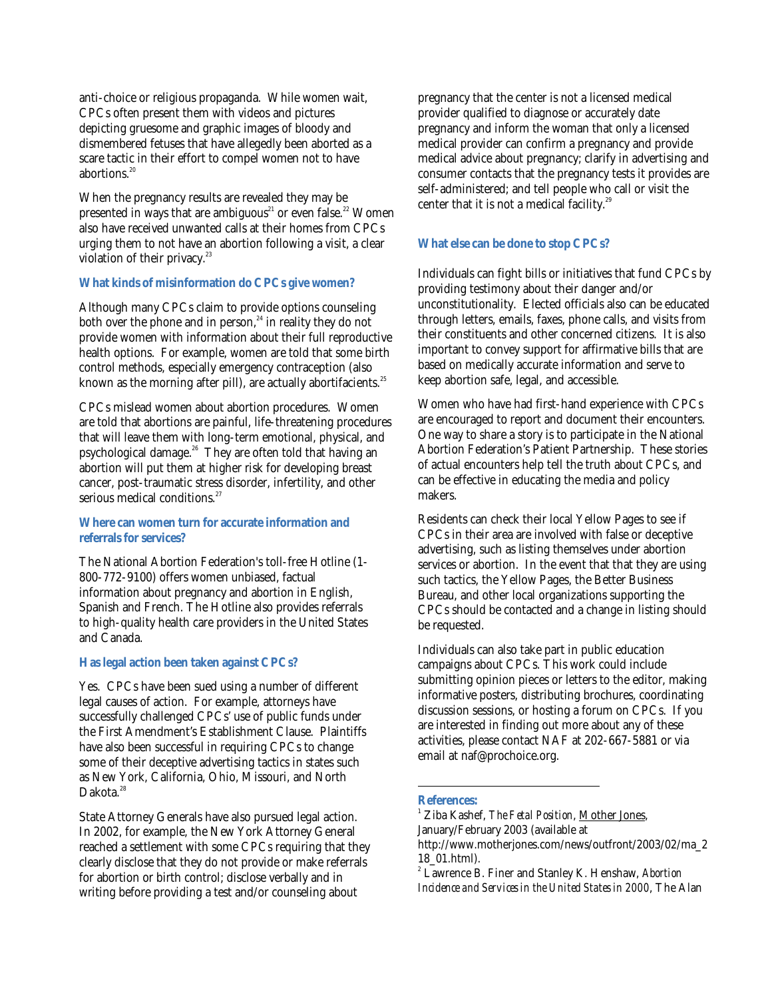anti-choice or religious propaganda. While women wait, CPCs often present them with videos and pictures depicting gruesome and graphic images of bloody and dismembered fetuses that have allegedly been aborted as a scare tactic in their effort to compel women not to have abortions.<sup>20</sup>

When the pregnancy results are revealed they may be presented in ways that are ambiguous<sup>21</sup> or even false.<sup>22</sup> Women also have received unwanted calls at their homes from CPCs urging them to not have an abortion following a visit, a clear violation of their privacy. $^{23}$ 

#### **What kinds of misinformation do CPCs give women?**

Although many CPCs claim to provide options counseling both over the phone and in person,<sup>24</sup> in reality they do not provide women with information about their full reproductive health options. For example, women are told that some birth control methods, especially emergency contraception (also known as the morning after pill), are actually abortifacients.<sup>25</sup>

CPCs mislead women about abortion procedures. Women are told that abortions are painful, life-threatening procedures that will leave them with long-term emotional, physical, and psychological damage.26 They are often told that having an abortion will put them at higher risk for developing breast cancer, post-traumatic stress disorder, infertility, and other serious medical conditions.<sup>27</sup>

#### **Where can women turn for accurate information and referrals for services?**

The National Abortion Federation's toll-free Hotline (1- 800-772-9100) offers women unbiased, factual information about pregnancy and abortion in English, Spanish and French. The Hotline also provides referrals to high-quality health care providers in the United States and Canada.

#### **Has legal action been taken against CPCs?**

Yes. CPCs have been sued using a number of different legal causes of action. For example, attorneys have successfully challenged CPCs' use of public funds under the First Amendment's Establishment Clause. Plaintiffs have also been successful in requiring CPCs to change some of their deceptive advertising tactics in states such as New York, California, Ohio, Missouri, and North Dakota.<sup>28</sup>

State Attorney Generals have also pursued legal action. In 2002, for example, the New York Attorney General reached a settlement with some CPCs requiring that they clearly disclose that they do not provide or make referrals for abortion or birth control; disclose verbally and in writing before providing a test and/or counseling about

pregnancy that the center is not a licensed medical provider qualified to diagnose or accurately date pregnancy and inform the woman that only a licensed medical provider can confirm a pregnancy and provide medical advice about pregnancy; clarify in advertising and consumer contacts that the pregnancy tests it provides are self-administered; and tell people who call or visit the center that it is not a medical facility.<sup>29</sup>

#### **What else can be done to stop CPCs?**

Individuals can fight bills or initiatives that fund CPCs by providing testimony about their danger and/or unconstitutionality. Elected officials also can be educated through letters, emails, faxes, phone calls, and visits from their constituents and other concerned citizens. It is also important to convey support for affirmative bills that are based on medically accurate information and serve to keep abortion safe, legal, and accessible.

Women who have had first-hand experience with CPCs are encouraged to report and document their encounters. One way to share a story is to participate in the National Abortion Federation's Patient Partnership. These stories of actual encounters help tell the truth about CPCs, and can be effective in educating the media and policy makers.

Residents can check their local Yellow Pages to see if CPCs in their area are involved with false or deceptive advertising, such as listing themselves under abortion services or abortion. In the event that that they are using such tactics, the Yellow Pages, the Better Business Bureau, and other local organizations supporting the CPCs should be contacted and a change in listing should be requested.

Individuals can also take part in public education campaigns about CPCs. This work could include submitting opinion pieces or letters to the editor, making informative posters, distributing brochures, coordinating discussion sessions, or hosting a forum on CPCs. If you are interested in finding out more about any of these activities, please contact NAF at 202-667-5881 or via email at naf@prochoice.org.

#### **References:**

 $\overline{a}$ 

<sup>1</sup> Ziba Kashef, *The Fetal Position*, Mother Jones, January/February 2003 (available at

http://www.motherjones.com/news/outfront/2003/02/ma\_2 18\_01.html).

<sup>2</sup> Lawrence B. Finer and Stanley K. Henshaw, *Abortion Incidence and Services in the United States in 2000*, The Alan